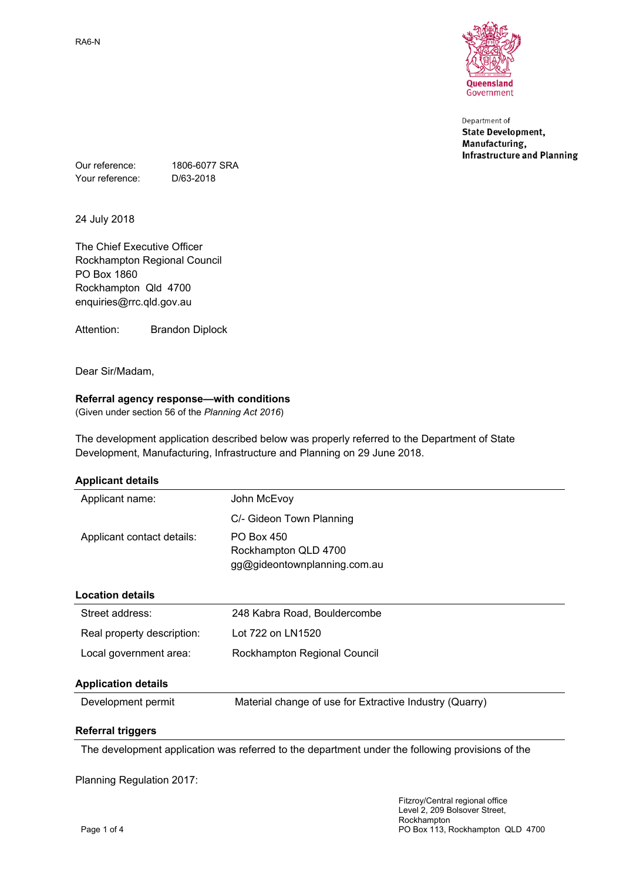

Department of **State Development,** Manufacturing, **Infrastructure and Planning** 

Our reference: 1806-6077 SRA Your reference: D/63-2018

24 July 2018

The Chief Executive Officer Rockhampton Regional Council PO Box 1860 Rockhampton Qld 4700 enquiries@rrc.qld.gov.au

Attention: Brandon Diplock

Dear Sir/Madam,

## **Referral agency response—with conditions**

(Given under section 56 of the *Planning Act 2016*)

The development application described below was properly referred to the Department of State Development, Manufacturing, Infrastructure and Planning on 29 June 2018.

| <b>Applicant details</b>   |                                                                           |  |
|----------------------------|---------------------------------------------------------------------------|--|
| Applicant name:            | John McEvoy                                                               |  |
|                            | C/- Gideon Town Planning                                                  |  |
| Applicant contact details: | <b>PO Box 450</b><br>Rockhampton QLD 4700<br>gg@gideontownplanning.com.au |  |
| <b>Location details</b>    |                                                                           |  |
| Street address:            | 248 Kabra Road, Bouldercombe                                              |  |
| Real property description: | Lot 722 on LN1520                                                         |  |
| Local government area:     | Rockhampton Regional Council                                              |  |
| <b>Application details</b> |                                                                           |  |
| Development permit         | Material change of use for Extractive Industry (Quarry)                   |  |
| <b>Referral triggers</b>   |                                                                           |  |

The development application was referred to the department under the following provisions of the

Planning Regulation 2017: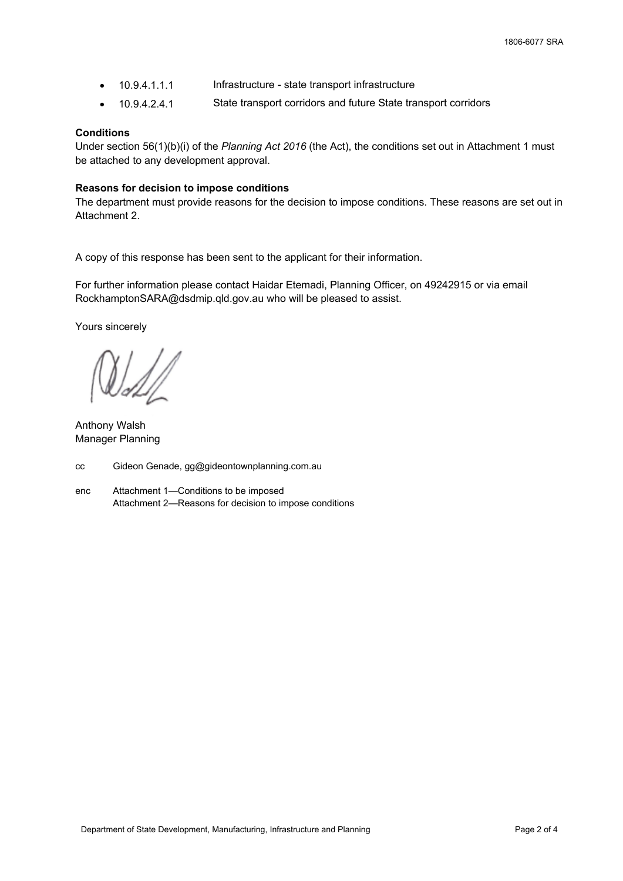- 10.9.4.1.1.1 Infrastructure state transport infrastructure
- 10.9.4.2.4.1 State transport corridors and future State transport corridors

## **Conditions**

Under section 56(1)(b)(i) of the *Planning Act 2016* (the Act), the conditions set out in Attachment 1 must be attached to any development approval.

## **Reasons for decision to impose conditions**

The department must provide reasons for the decision to impose conditions. These reasons are set out in Attachment 2.

A copy of this response has been sent to the applicant for their information.

For further information please contact Haidar Etemadi, Planning Officer, on 49242915 or via email RockhamptonSARA@dsdmip.qld.gov.au who will be pleased to assist.

Yours sincerely

Anthony Walsh Manager Planning

cc Gideon Genade, gg@gideontownplanning.com.au

enc Attachment 1—Conditions to be imposed Attachment 2—Reasons for decision to impose conditions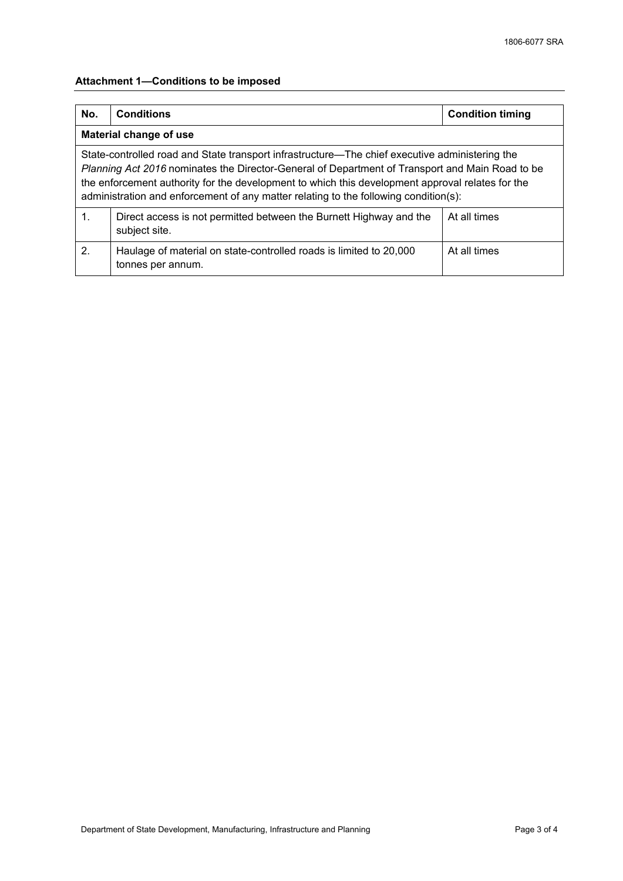# **Attachment 1—Conditions to be imposed**

| No.                                                                                                                                                                                                                                                                                                                                                                                           | <b>Conditions</b>                                                                       | <b>Condition timing</b> |  |  |  |
|-----------------------------------------------------------------------------------------------------------------------------------------------------------------------------------------------------------------------------------------------------------------------------------------------------------------------------------------------------------------------------------------------|-----------------------------------------------------------------------------------------|-------------------------|--|--|--|
| <b>Material change of use</b>                                                                                                                                                                                                                                                                                                                                                                 |                                                                                         |                         |  |  |  |
| State-controlled road and State transport infrastructure—The chief executive administering the<br>Planning Act 2016 nominates the Director-General of Department of Transport and Main Road to be<br>the enforcement authority for the development to which this development approval relates for the<br>administration and enforcement of any matter relating to the following condition(s): |                                                                                         |                         |  |  |  |
| $\mathbf 1$ .                                                                                                                                                                                                                                                                                                                                                                                 | Direct access is not permitted between the Burnett Highway and the<br>subject site.     | At all times            |  |  |  |
| 2.                                                                                                                                                                                                                                                                                                                                                                                            | Haulage of material on state-controlled roads is limited to 20,000<br>tonnes per annum. | At all times            |  |  |  |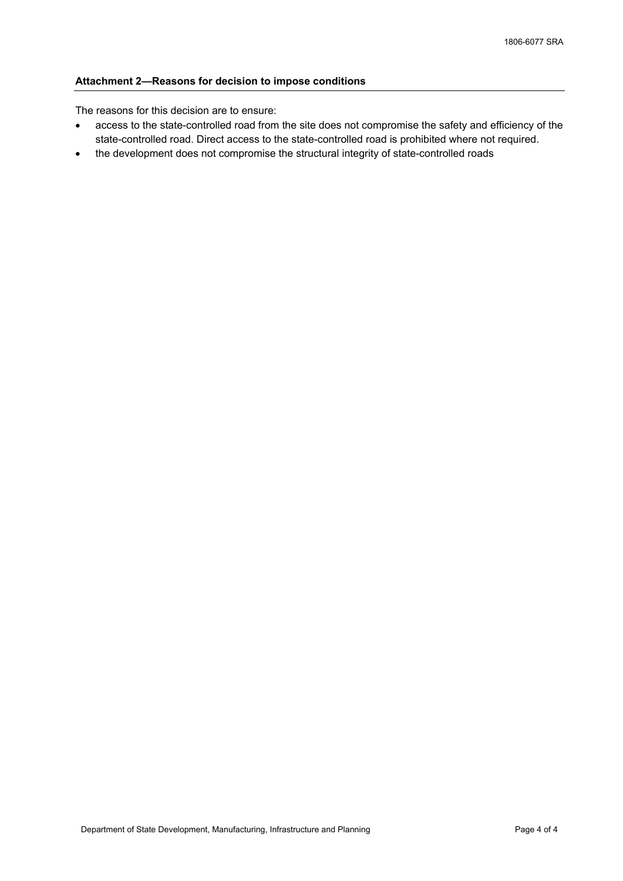## **Attachment 2—Reasons for decision to impose conditions**

The reasons for this decision are to ensure:

- access to the state-controlled road from the site does not compromise the safety and efficiency of the state-controlled road. Direct access to the state-controlled road is prohibited where not required.
- the development does not compromise the structural integrity of state-controlled roads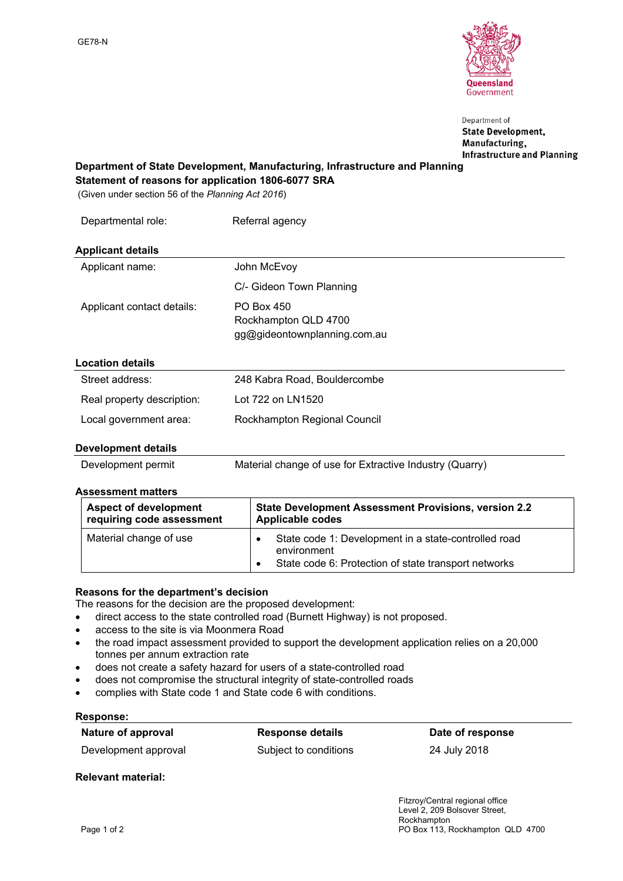

Department of **State Development,** Manufacturing, **Infrastructure and Planning** 

## **Department of State Development, Manufacturing, Infrastructure and Planning Statement of reasons for application 1806-6077 SRA**

(Given under section 56 of the *Planning Act 2016*)

| Departmental role:         | Referral agency                                                    |
|----------------------------|--------------------------------------------------------------------|
| <b>Applicant details</b>   |                                                                    |
| Applicant name:            | John McEvoy                                                        |
|                            | C/- Gideon Town Planning                                           |
| Applicant contact details: | PO Box 450<br>Rockhampton QLD 4700<br>gg@gideontownplanning.com.au |
| <b>Location details</b>    |                                                                    |
| Street address:            | 248 Kabra Road, Bouldercombe                                       |
| Real property description: | Lot 722 on LN1520                                                  |
| Local government area:     | Rockhampton Regional Council                                       |

## **Development details**

Development permit Material change of use for Extractive Industry (Quarry)

## **Assessment matters**

| <b>Aspect of development</b> | <b>State Development Assessment Provisions, version 2.2</b>                                                                 |
|------------------------------|-----------------------------------------------------------------------------------------------------------------------------|
| requiring code assessment    | <b>Applicable codes</b>                                                                                                     |
| Material change of use       | State code 1: Development in a state-controlled road<br>environment<br>State code 6: Protection of state transport networks |

# **Reasons for the department's decision**

The reasons for the decision are the proposed development:

- direct access to the state controlled road (Burnett Highway) is not proposed.
- access to the site is via Moonmera Road
- the road impact assessment provided to support the development application relies on a 20,000 tonnes per annum extraction rate
- does not create a safety hazard for users of a state-controlled road
- does not compromise the structural integrity of state-controlled roads
- complies with State code 1 and State code 6 with conditions.

## **Response:**

| Nature of approval   | <b>Response details</b> | Date of response |
|----------------------|-------------------------|------------------|
| Development approval | Subject to conditions   | 24 July 2018     |

**Relevant material:**